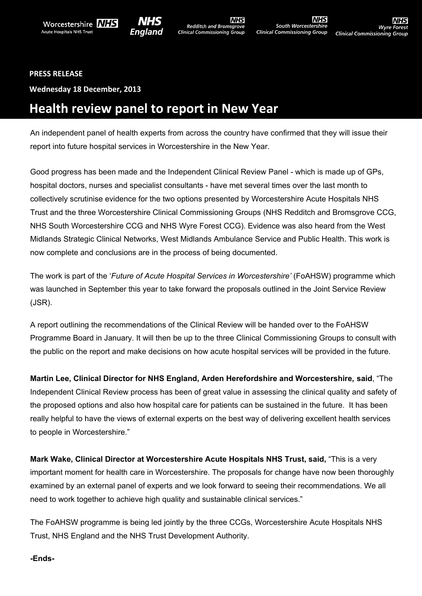



**NHS** Redditch and Bromsgrove<br>Clinical Commissioning Group

**NHS** South Worcestershire **Clinical Commissioning Group** 

## **PRESS RELEASE**

**Wednesday 18 December, 2013**

## **Health review panel to report in New Year**

An independent panel of health experts from across the country have confirmed that they will issue their report into future hospital services in Worcestershire in the New Year.

Good progress has been made and the Independent Clinical Review Panel - which is made up of GPs, hospital doctors, nurses and specialist consultants - have met several times over the last month to collectively scrutinise evidence for the two options presented by Worcestershire Acute Hospitals NHS Trust and the three Worcestershire Clinical Commissioning Groups (NHS Redditch and Bromsgrove CCG, NHS South Worcestershire CCG and NHS Wyre Forest CCG). Evidence was also heard from the West Midlands Strategic Clinical Networks, West Midlands Ambulance Service and Public Health. This work is now complete and conclusions are in the process of being documented.

The work is part of the '*Future of Acute Hospital Services in Worcestershire'* (FoAHSW) programme which was launched in September this year to take forward the proposals outlined in the Joint Service Review (JSR).

A report outlining the recommendations of the Clinical Review will be handed over to the FoAHSW Programme Board in January. It will then be up to the three Clinical Commissioning Groups to consult with the public on the report and make decisions on how acute hospital services will be provided in the future.

**Martin Lee, Clinical Director for NHS England, Arden Herefordshire and Worcestershire, said**, "The Independent Clinical Review process has been of great value in assessing the clinical quality and safety of the proposed options and also how hospital care for patients can be sustained in the future. It has been really helpful to have the views of external experts on the best way of delivering excellent health services to people in Worcestershire."

**Mark Wake, Clinical Director at Worcestershire Acute Hospitals NHS Trust, said,** "This is a very important moment for health care in Worcestershire. The proposals for change have now been thoroughly examined by an external panel of experts and we look forward to seeing their recommendations. We all need to work together to achieve high quality and sustainable clinical services."

The FoAHSW programme is being led jointly by the three CCGs, Worcestershire Acute Hospitals NHS Trust, NHS England and the NHS Trust Development Authority.

## **-Ends-**